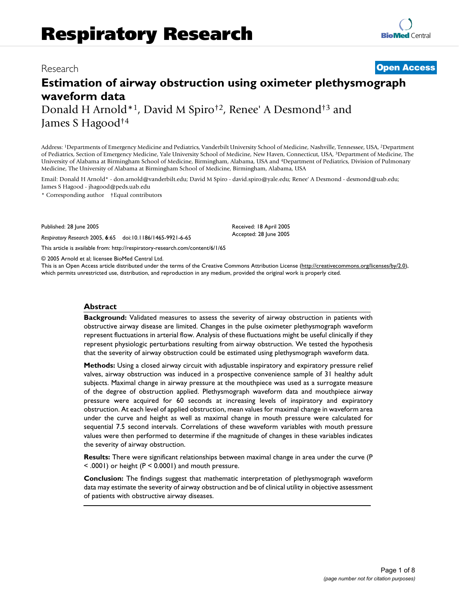# **Estimation of airway obstruction using oximeter plethysmograph waveform data**

Donald H Arnold\*1, David M Spiro†2, Renee' A Desmond†3 and James S Hagood†4

Address: 1Departments of Emergency Medicine and Pediatrics, Vanderbilt University School of Medicine, Nashville, Tennessee, USA, 2Department of Pediatrics, Section of Emergency Medicine, Yale University School of Medicine, New Haven, Connecticut, USA, 3Department of Medicine, The University of Alabama at Birmingham School of Medicine, Birmingham, Alabama, USA and 4Department of Pediatrics, Division of Pulmonary Medicine, The University of Alabama at Birmingham School of Medicine, Birmingham, Alabama, USA

Email: Donald H Arnold\* - don.arnold@vanderbilt.edu; David M Spiro - david.spiro@yale.edu; Renee' A Desmond - desmond@uab.edu; James S Hagood - jhagood@peds.uab.edu

\* Corresponding author †Equal contributors

Published: 28 June 2005

*Respiratory Research* 2005, **6**:65 doi:10.1186/1465-9921-6-65

[This article is available from: http://respiratory-research.com/content/6/1/65](http://respiratory-research.com/content/6/1/65)

© 2005 Arnold et al; licensee BioMed Central Ltd.

This is an Open Access article distributed under the terms of the Creative Commons Attribution License [\(http://creativecommons.org/licenses/by/2.0\)](http://creativecommons.org/licenses/by/2.0), which permits unrestricted use, distribution, and reproduction in any medium, provided the original work is properly cited.

Received: 18 April 2005 Accepted: 28 June 2005

### **Abstract**

**Background:** Validated measures to assess the severity of airway obstruction in patients with obstructive airway disease are limited. Changes in the pulse oximeter plethysmograph waveform represent fluctuations in arterial flow. Analysis of these fluctuations might be useful clinically if they represent physiologic perturbations resulting from airway obstruction. We tested the hypothesis that the severity of airway obstruction could be estimated using plethysmograph waveform data.

**Methods:** Using a closed airway circuit with adjustable inspiratory and expiratory pressure relief valves, airway obstruction was induced in a prospective convenience sample of 31 healthy adult subjects. Maximal change in airway pressure at the mouthpiece was used as a surrogate measure of the degree of obstruction applied. Plethysmograph waveform data and mouthpiece airway pressure were acquired for 60 seconds at increasing levels of inspiratory and expiratory obstruction. At each level of applied obstruction, mean values for maximal change in waveform area under the curve and height as well as maximal change in mouth pressure were calculated for sequential 7.5 second intervals. Correlations of these waveform variables with mouth pressure values were then performed to determine if the magnitude of changes in these variables indicates the severity of airway obstruction.

**Results:** There were significant relationships between maximal change in area under the curve (P < .0001) or height (P < 0.0001) and mouth pressure.

**Conclusion:** The findings suggest that mathematic interpretation of plethysmograph waveform data may estimate the severity of airway obstruction and be of clinical utility in objective assessment of patients with obstructive airway diseases.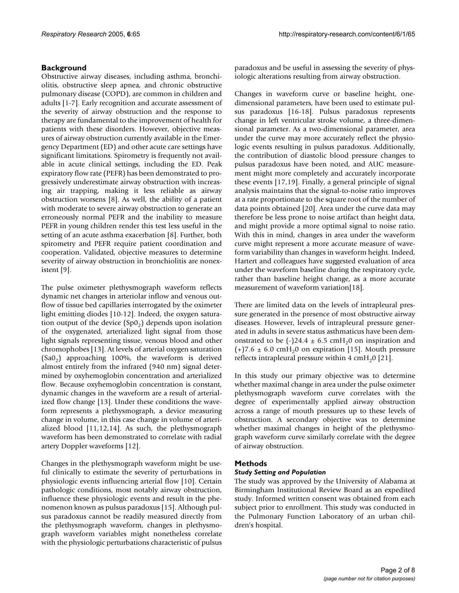# **Background**

Obstructive airway diseases, including asthma, bronchiolitis, obstructive sleep apnea, and chronic obstructive pulmonary disease (COPD), are common in children and adults [1-7]. Early recognition and accurate assessment of the severity of airway obstruction and the response to therapy are fundamental to the improvement of health for patients with these disorders. However, objective measures of airway obstruction currently available in the Emergency Department (ED) and other acute care settings have significant limitations. Spirometry is frequently not available in acute clinical settings, including the ED. Peak expiratory flow rate (PEFR) has been demonstrated to progressively underestimate airway obstruction with increasing air trapping, making it less reliable as airway obstruction worsens [8]. As well, the ability of a patient with moderate to severe airway obstruction to generate an erroneously normal PEFR and the inability to measure PEFR in young children render this test less useful in the setting of an acute asthma exacerbation [8]. Further, both spirometry and PEFR require patient coordination and cooperation. Validated, objective measures to determine severity of airway obstruction in bronchiolitis are nonexistent [9].

The pulse oximeter plethysmograph waveform reflects dynamic net changes in arteriolar inflow and venous outflow of tissue bed capillaries interrogated by the oximeter light emitting diodes [10-12]. Indeed, the oxygen saturation output of the device  $(Sp0<sub>2</sub>)$  depends upon isolation of the oxygenated, arterialized light signal from those light signals representing tissue, venous blood and other chromophobes [13]. At levels of arterial oxygen saturation  $(Sa0<sub>2</sub>)$  approaching 100%, the waveform is derived almost entirely from the infrared (940 nm) signal determined by oxyhemoglobin concentration and arterialized flow. Because oxyhemoglobin concentration is constant, dynamic changes in the waveform are a result of arterialized flow change [13]. Under these conditions the waveform represents a plethysmograph, a device measuring change in volume, in this case change in volume of arterialized blood [11,12,14]. As such, the plethysmograph waveform has been demonstrated to correlate with radial artery Doppler waveforms [12].

Changes in the plethysmograph waveform might be useful clinically to estimate the severity of perturbations in physiologic events influencing arterial flow [10]. Certain pathologic conditions, most notably airway obstruction, influence these physiologic events and result in the phenomenon known as pulsus paradoxus [15]. Although pulsus paradoxus cannot be readily measured directly from the plethysmograph waveform, changes in plethysmograph waveform variables might nonetheless correlate with the physiologic perturbations characteristic of pulsus paradoxus and be useful in assessing the severity of physiologic alterations resulting from airway obstruction.

Changes in waveform curve or baseline height, onedimensional parameters, have been used to estimate pulsus paradoxus [16-18]. Pulsus paradoxus represents change in left ventricular stroke volume, a three-dimensional parameter. As a two-dimensional parameter, area under the curve may more accurately reflect the physiologic events resulting in pulsus paradoxus. Additionally, the contribution of diastolic blood pressure changes to pulsus paradoxus have been noted, and AUC measurement might more completely and accurately incorporate these events [17,19]. Finally, a general principle of signal analysis maintains that the signal-to-noise ratio improves at a rate proportionate to the square root of the number of data points obtained [20]. Area under the curve data may therefore be less prone to noise artifact than height data, and might provide a more optimal signal to noise ratio. With this in mind, changes in area under the waveform curve might represent a more accurate measure of waveform variability than changes in waveform height. Indeed, Hartert and colleagues have suggested evaluation of area under the waveform baseline during the respiratory cycle, rather than baseline height change, as a more accurate measurement of waveform variation[18].

There are limited data on the levels of intrapleural pressure generated in the presence of most obstructive airway diseases. However, levels of intrapleural pressure generated in adults in severe status asthmaticus have been demonstrated to be  $(-)$ 24.4  $\pm$  6.5 cmH<sub>2</sub>0 on inspiration and  $(+)7.6 \pm 6.0$  cmH<sub>2</sub>0 on expiration [15]. Mouth pressure reflects intrapleural pressure within 4  $\text{cmH}_2$ 0 [21].

In this study our primary objective was to determine whether maximal change in area under the pulse oximeter plethysmograph waveform curve correlates with the degree of experimentally applied airway obstruction across a range of mouth pressures up to these levels of obstruction. A secondary objective was to determine whether maximal changes in height of the plethysmograph waveform curve similarly correlate with the degree of airway obstruction.

# **Methods**

# *Study Setting and Population*

The study was approved by the University of Alabama at Birmingham Institutional Review Board as an expedited study. Informed written consent was obtained from each subject prior to enrollment. This study was conducted in the Pulmonary Function Laboratory of an urban children's hospital.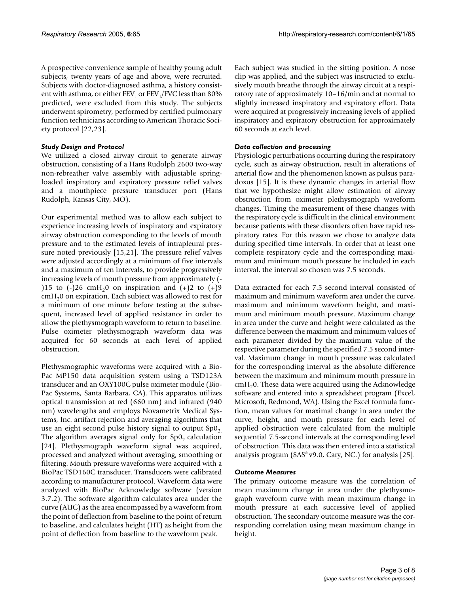A prospective convenience sample of healthy young adult subjects, twenty years of age and above, were recruited. Subjects with doctor-diagnosed asthma, a history consistent with asthma, or either  $FEV<sub>1</sub>$  or  $FEV<sub>1</sub>/FVC$  less than 80% predicted, were excluded from this study. The subjects underwent spirometry, performed by certified pulmonary function technicians according to American Thoracic Society protocol [[22,](#page-7-0)[23\]](#page-7-1).

# *Study Design and Protocol*

We utilized a closed airway circuit to generate airway obstruction, consisting of a Hans Rudolph 2600 two-way non-rebreather valve assembly with adjustable springloaded inspiratory and expiratory pressure relief valves and a mouthpiece pressure transducer port (Hans Rudolph, Kansas City, MO).

Our experimental method was to allow each subject to experience increasing levels of inspiratory and expiratory airway obstruction corresponding to the levels of mouth pressure and to the estimated levels of intrapleural pressure noted previously [15,21]. The pressure relief valves were adjusted accordingly at a minimum of five intervals and a maximum of ten intervals, to provide progressively increasing levels of mouth pressure from approximately (- )15 to  $(-)$ 26 cmH<sub>2</sub>0 on inspiration and  $(+)$ 2 to  $(+)$ 9  $cmH<sub>2</sub>0$  on expiration. Each subject was allowed to rest for a minimum of one minute before testing at the subsequent, increased level of applied resistance in order to allow the plethysmograph waveform to return to baseline. Pulse oximeter plethysmograph waveform data was acquired for 60 seconds at each level of applied obstruction.

Plethysmographic waveforms were acquired with a Bio-Pac MP150 data acquisition system using a TSD123A transducer and an OXY100C pulse oximeter module (Bio-Pac Systems, Santa Barbara, CA). This apparatus utilizes optical transmission at red (660 nm) and infrared (940 nm) wavelengths and employs Novametrix Medical Systems, Inc. artifact rejection and averaging algorithms that use an eight second pulse history signal to output  $Sp0<sub>2</sub>$ . The algorithm averages signal only for  $Sp0<sub>2</sub>$  calculation [24]. Plethysmograph waveform signal was acquired, processed and analyzed without averaging, smoothing or filtering. Mouth pressure waveforms were acquired with a BioPac TSD160C transducer. Transducers were calibrated according to manufacturer protocol. Waveform data were analyzed with BioPac Acknowledge software (version 3.7.2). The software algorithm calculates area under the curve (AUC) as the area encompassed by a waveform from the point of deflection from baseline to the point of return to baseline, and calculates height (HT) as height from the point of deflection from baseline to the waveform peak.

Each subject was studied in the sitting position. A nose clip was applied, and the subject was instructed to exclusively mouth breathe through the airway circuit at a respiratory rate of approximately 10–16/min and at normal to slightly increased inspiratory and expiratory effort. Data were acquired at progressively increasing levels of applied inspiratory and expiratory obstruction for approximately 60 seconds at each level.

# *Data collection and processing*

Physiologic perturbations occurring during the respiratory cycle, such as airway obstruction, result in alterations of arterial flow and the phenomenon known as pulsus paradoxus [15]. It is these dynamic changes in arterial flow that we hypothesize might allow estimation of airway obstruction from oximeter plethysmograph waveform changes. Timing the measurement of these changes with the respiratory cycle is difficult in the clinical environment because patients with these disorders often have rapid respiratory rates. For this reason we chose to analyze data during specified time intervals. In order that at least one complete respiratory cycle and the corresponding maximum and minimum mouth pressure be included in each interval, the interval so chosen was 7.5 seconds.

Data extracted for each 7.5 second interval consisted of maximum and minimum waveform area under the curve, maximum and minimum waveform height, and maximum and minimum mouth pressure. Maximum change in area under the curve and height were calculated as the difference between the maximum and minimum values of each parameter divided by the maximum value of the respective parameter during the specified 7.5 second interval. Maximum change in mouth pressure was calculated for the corresponding interval as the absolute difference between the maximum and minimum mouth pressure in  $cmH<sub>2</sub>0$ . These data were acquired using the Acknowledge software and entered into a spreadsheet program (Excel, Microsoft, Redmond, WA). Using the Excel formula function, mean values for maximal change in area under the curve, height, and mouth pressure for each level of applied obstruction were calculated from the multiple sequential 7.5-second intervals at the corresponding level of obstruction. This data was then entered into a statistical analysis program (SAS® v9.0, Cary, NC.) for analysis [25].

# *Outcome Measures*

The primary outcome measure was the correlation of mean maximum change in area under the plethysmograph waveform curve with mean maximum change in mouth pressure at each successive level of applied obstruction. The secondary outcome measure was the corresponding correlation using mean maximum change in height.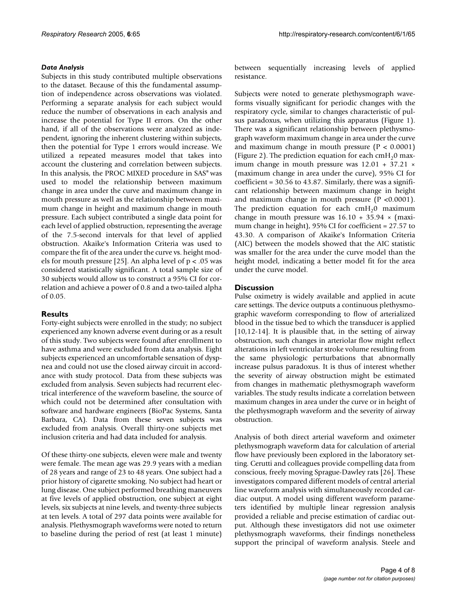# *Data Analysis*

Subjects in this study contributed multiple observations to the dataset. Because of this the fundamental assumption of independence across observations was violated. Performing a separate analysis for each subject would reduce the number of observations in each analysis and increase the potential for Type II errors. On the other hand, if all of the observations were analyzed as independent, ignoring the inherent clustering within subjects, then the potential for Type 1 errors would increase. We utilized a repeated measures model that takes into account the clustering and correlation between subjects. In this analysis, the PROC MIXED procedure in SAS® was used to model the relationship between maximum change in area under the curve and maximum change in mouth pressure as well as the relationship between maximum change in height and maximum change in mouth pressure. Each subject contributed a single data point for each level of applied obstruction, representing the average of the 7.5-second intervals for that level of applied obstruction. Akaike's Information Criteria was used to compare the fit of the area under the curve vs. height models for mouth pressure [25]. An alpha level of  $p < .05$  was considered statistically significant. A total sample size of 30 subjects would allow us to construct a 95% CI for correlation and achieve a power of 0.8 and a two-tailed alpha of 0.05.

# **Results**

Forty-eight subjects were enrolled in the study; no subject experienced any known adverse event during or as a result of this study. Two subjects were found after enrollment to have asthma and were excluded from data analysis. Eight subjects experienced an uncomfortable sensation of dyspnea and could not use the closed airway circuit in accordance with study protocol. Data from these subjects was excluded from analysis. Seven subjects had recurrent electrical interference of the waveform baseline, the source of which could not be determined after consultation with software and hardware engineers (BioPac Systems, Santa Barbara, CA). Data from these seven subjects was excluded from analysis. Overall thirty-one subjects met inclusion criteria and had data included for analysis.

Of these thirty-one subjects, eleven were male and twenty were female. The mean age was 29.9 years with a median of 28 years and range of 23 to 48 years. One subject had a prior history of cigarette smoking. No subject had heart or lung disease. One subject performed breathing maneuvers at five levels of applied obstruction, one subject at eight levels, six subjects at nine levels, and twenty-three subjects at ten levels. A total of 297 data points were available for analysis. Plethysmograph waveforms were noted to return to baseline during the period of rest (at least 1 minute)

between sequentially increasing levels of applied resistance.

Subjects were noted to generate plethysmograph waveforms visually significant for periodic changes with the respiratory cycle, similar to changes characteristic of pulsus paradoxus, when utilizing this apparatus (Figure [1\)](#page-4-0). There was a significant relationship between plethysmograph waveform maximum change in area under the curve and maximum change in mouth pressure  $(P < 0.0001)$ (Figure [2\)](#page-5-0). The prediction equation for each cmH<sub>2</sub>0 maximum change in mouth pressure was 12.01 + 37.21 × (maximum change in area under the curve), 95% CI for coefficient = 30.56 to 43.87. Similarly, there was a significant relationship between maximum change in height and maximum change in mouth pressure  $(P < 0.0001)$ . The prediction equation for each  $cmH<sub>2</sub>0$  maximum change in mouth pressure was  $16.10 + 35.94 \times$  (maximum change in height), 95% CI for coefficient = 27.57 to 43.30. A comparison of Akaike's Information Criteria (AIC) between the models showed that the AIC statistic was smaller for the area under the curve model than the height model, indicating a better model fit for the area under the curve model.

# **Discussion**

Pulse oximetry is widely available and applied in acute care settings. The device outputs a continuous plethysmographic waveform corresponding to flow of arterialized blood in the tissue bed to which the transducer is applied [10,12-14]. It is plausible that, in the setting of airway obstruction, such changes in arteriolar flow might reflect alterations in left ventricular stroke volume resulting from the same physiologic perturbations that abnormally increase pulsus paradoxus. It is thus of interest whether the severity of airway obstruction might be estimated from changes in mathematic plethysmograph waveform variables. The study results indicate a correlation between maximum changes in area under the curve or in height of the plethysmograph waveform and the severity of airway obstruction.

Analysis of both direct arterial waveform and oximeter plethysmograph waveform data for calculation of arterial flow have previously been explored in the laboratory setting. Cerutti and colleagues provide compelling data from conscious, freely moving Sprague-Dawley rats [26]. These investigators compared different models of central arterial line waveform analysis with simultaneously recorded cardiac output. A model using different waveform parameters identified by multiple linear regression analysis provided a reliable and precise estimation of cardiac output. Although these investigators did not use oximeter plethysmograph waveforms, their findings nonetheless support the principal of waveform analysis. Steele and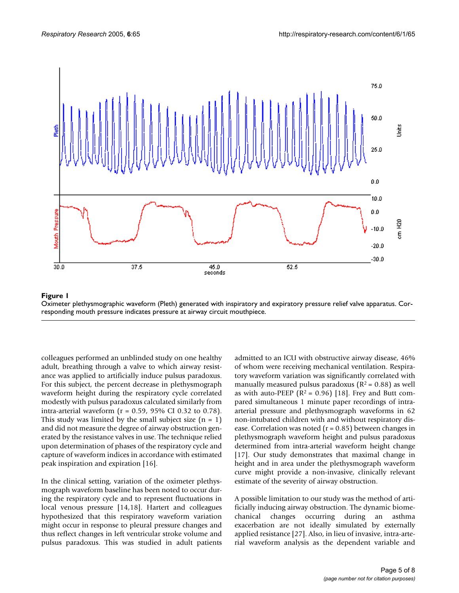<span id="page-4-0"></span>

#### Oximeter plethysmographic waveform (Pleth **Figure 1** ) generated with inspiratory and expiratory pressure relief valve apparatus

Oximeter plethysmographic waveform (Pleth) generated with inspiratory and expiratory pressure relief valve apparatus. Corresponding mouth pressure indicates pressure at airway circuit mouthpiece.

colleagues performed an unblinded study on one healthy adult, breathing through a valve to which airway resistance was applied to artificially induce pulsus paradoxus. For this subject, the percent decrease in plethysmograph waveform height during the respiratory cycle correlated modestly with pulsus paradoxus calculated similarly from intra-arterial waveform ( $r = 0.59$ , 95% CI 0.32 to 0.78). This study was limited by the small subject size  $(n = 1)$ and did not measure the degree of airway obstruction generated by the resistance valves in use. The technique relied upon determination of phases of the respiratory cycle and capture of waveform indices in accordance with estimated peak inspiration and expiration [16].

In the clinical setting, variation of the oximeter plethysmograph waveform baseline has been noted to occur during the respiratory cycle and to represent fluctuations in local venous pressure [14,18]. Hartert and colleagues hypothesized that this respiratory waveform variation might occur in response to pleural pressure changes and thus reflect changes in left ventricular stroke volume and pulsus paradoxus. This was studied in adult patients admitted to an ICU with obstructive airway disease, 46% of whom were receiving mechanical ventilation. Respiratory waveform variation was significantly correlated with manually measured pulsus paradoxus ( $R^2$  = 0.88) as well as with auto-PEEP ( $R^2 = 0.96$ ) [18]. Frey and Butt compared simultaneous 1 minute paper recordings of intraarterial pressure and plethysmograph waveforms in 62 non-intubated children with and without respiratory disease. Correlation was noted ( $r = 0.85$ ) between changes in plethysmograph waveform height and pulsus paradoxus determined from intra-arterial waveform height change [17]. Our study demonstrates that maximal change in height and in area under the plethysmograph waveform curve might provide a non-invasive, clinically relevant estimate of the severity of airway obstruction.

A possible limitation to our study was the method of artificially inducing airway obstruction. The dynamic biomechanical changes occurring during an asthma exacerbation are not ideally simulated by externally applied resistance [27]. Also, in lieu of invasive, intra-arterial waveform analysis as the dependent variable and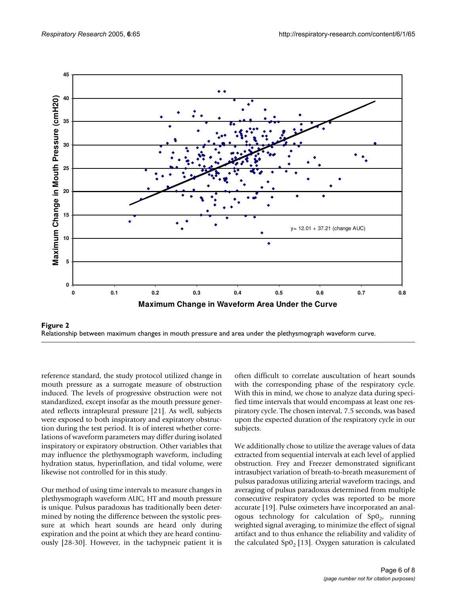<span id="page-5-0"></span>



reference standard, the study protocol utilized change in mouth pressure as a surrogate measure of obstruction induced. The levels of progressive obstruction were not standardized, except insofar as the mouth pressure generated reflects intrapleural pressure [21]. As well, subjects were exposed to both inspiratory and expiratory obstruction during the test period. It is of interest whether correlations of waveform parameters may differ during isolated inspiratory or expiratory obstruction. Other variables that may influence the plethysmograph waveform, including hydration status, hyperinflation, and tidal volume, were likewise not controlled for in this study.

Our method of using time intervals to measure changes in plethysmograph waveform AUC, HT and mouth pressure is unique. Pulsus paradoxus has traditionally been determined by noting the difference between the systolic pressure at which heart sounds are heard only during expiration and the point at which they are heard continuously [28-30]. However, in the tachypneic patient it is often difficult to correlate auscultation of heart sounds with the corresponding phase of the respiratory cycle. With this in mind, we chose to analyze data during specified time intervals that would encompass at least one respiratory cycle. The chosen interval, 7.5 seconds, was based upon the expected duration of the respiratory cycle in our subjects.

We additionally chose to utilize the average values of data extracted from sequential intervals at each level of applied obstruction. Frey and Freezer demonstrated significant intrasubject variation of breath-to-breath measurement of pulsus paradoxus utilizing arterial waveform tracings, and averaging of pulsus paradoxus determined from multiple consecutive respiratory cycles was reported to be more accurate [19]. Pulse oximeters have incorporated an analogous technology for calculation of  $Sp0<sub>2</sub>$ , running weighted signal averaging, to minimize the effect of signal artifact and to thus enhance the reliability and validity of the calculated  $Sp_2[13]$ . Oxygen saturation is calculated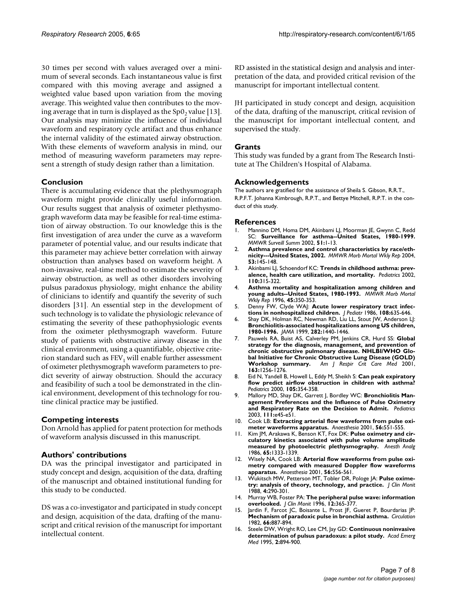30 times per second with values averaged over a minimum of several seconds. Each instantaneous value is first compared with this moving average and assigned a weighted value based upon variation from the moving average. This weighted value then contributes to the moving average that in turn is displayed as the  $Sp0<sub>2</sub>$  value [13]. Our analysis may minimize the influence of individual waveform and respiratory cycle artifact and thus enhance the internal validity of the estimated airway obstruction. With these elements of waveform analysis in mind, our method of measuring waveform parameters may represent a strength of study design rather than a limitation.

## **Conclusion**

There is accumulating evidence that the plethysmograph waveform might provide clinically useful information. Our results suggest that analysis of oximeter plethysmograph waveform data may be feasible for real-time estimation of airway obstruction. To our knowledge this is the first investigation of area under the curve as a waveform parameter of potential value, and our results indicate that this parameter may achieve better correlation with airway obstruction than analyses based on waveform height. A non-invasive, real-time method to estimate the severity of airway obstruction, as well as other disorders involving pulsus paradoxus physiology, might enhance the ability of clinicians to identify and quantify the severity of such disorders [31]. An essential step in the development of such technology is to validate the physiologic relevance of estimating the severity of these pathophysiologic events from the oximeter plethysmograph waveform. Future study of patients with obstructive airway disease in the clinical environment, using a quantifiable, objective criterion standard such as  $FEV<sub>1</sub>$  will enable further assessment of oximeter plethysmograph waveform parameters to predict severity of airway obstruction. Should the accuracy and feasibility of such a tool be demonstrated in the clinical environment, development of this technology for routine clinical practice may be justified.

# **Competing interests**

Don Arnold has applied for patent protection for methods of waveform analysis discussed in this manuscript.

# **Authors' contributions**

DA was the principal investigator and participated in study concept and design, acquisition of the data, drafting of the manuscript and obtained institutional funding for this study to be conducted.

DS was a co-investigator and participated in study concept and design, acquisition of the data, drafting of the manuscript and critical revision of the manuscript for important intellectual content.

RD assisted in the statistical design and analysis and interpretation of the data, and provided critical revision of the manuscript for important intellectual content.

JH participated in study concept and design, acquisition of the data, drafting of the manuscript, critical revision of the manuscript for important intellectual content, and supervised the study.

## **Grants**

This study was funded by a grant from The Research Institute at The Children's Hospital of Alabama.

## **Acknowledgements**

The authors are gratified for the assistance of Sheila S. Gibson, R.R.T., R.P.F.T. Johanna Kimbrough, R.P.T., and Bettye Mitchell, R.P.T. in the conduct of this study.

#### **References**

- 1. Mannino DM, Homa DM, Akinbami LJ, Moorman JE, Gwynn C, Redd SC: **Surveillance for asthma--United States, 1980-1999.** *MMWR Surveill Summ* 2002, **51:**1-13.
- 2. **[Asthma prevalence and control characteristics by race/eth](http://www.ncbi.nlm.nih.gov/entrez/query.fcgi?cmd=Retrieve&db=PubMed&dopt=Abstract&list_uids=14985651)[nicity---United States, 2002.](http://www.ncbi.nlm.nih.gov/entrez/query.fcgi?cmd=Retrieve&db=PubMed&dopt=Abstract&list_uids=14985651)** *MMWR Morb Mortal Wkly Rep* 2004, **53:**145-148.
- 3. Akinbami LJ, Schoendorf KC: **[Trends in childhood asthma: prev](http://www.ncbi.nlm.nih.gov/entrez/query.fcgi?cmd=Retrieve&db=PubMed&dopt=Abstract&list_uids=12165584)[alence, health care utilization, and mortality.](http://www.ncbi.nlm.nih.gov/entrez/query.fcgi?cmd=Retrieve&db=PubMed&dopt=Abstract&list_uids=12165584)** *Pediatrics* 2002, **110:**315-322.
- 4. **[Asthma mortality and hospitalization among children and](http://www.ncbi.nlm.nih.gov/entrez/query.fcgi?cmd=Retrieve&db=PubMed&dopt=Abstract&list_uids=8604212) [young adults--United States, 1980-1993.](http://www.ncbi.nlm.nih.gov/entrez/query.fcgi?cmd=Retrieve&db=PubMed&dopt=Abstract&list_uids=8604212)** *MMWR Morb Mortal Wkly Rep* 1996, **45:**350-353.
- 5. Denny FW, Clyde WAJ: **[Acute lower respiratory tract infec](http://www.ncbi.nlm.nih.gov/entrez/query.fcgi?cmd=Retrieve&db=PubMed&dopt=Abstract&list_uids=3009769)[tions in nonhospitalized children.](http://www.ncbi.nlm.nih.gov/entrez/query.fcgi?cmd=Retrieve&db=PubMed&dopt=Abstract&list_uids=3009769)** *J Pediatr* 1986, **108:**635-646.
- 6. Shay DK, Holman RC, Newman RD, Liu LL, Stout JW, Anderson LJ: **[Bronchiolitis-associated hospitalizations among US children,](http://www.ncbi.nlm.nih.gov/entrez/query.fcgi?cmd=Retrieve&db=PubMed&dopt=Abstract&list_uids=10535434) [1980-1996.](http://www.ncbi.nlm.nih.gov/entrez/query.fcgi?cmd=Retrieve&db=PubMed&dopt=Abstract&list_uids=10535434)** *JAMA* 1999, **282:**1440-1446.
- 7. Pauwels RA, Buist AS, Calverley PM, Jenkins CR, Hurd SS: **[Global](http://www.ncbi.nlm.nih.gov/entrez/query.fcgi?cmd=Retrieve&db=PubMed&dopt=Abstract&list_uids=11316667) [strategy for the diagnosis, management, and prevention of](http://www.ncbi.nlm.nih.gov/entrez/query.fcgi?cmd=Retrieve&db=PubMed&dopt=Abstract&list_uids=11316667) chronic obstructive pulmonary disease. NHLBI/WHO Global Initiative for Chronic Obstructive Lung Disease (GOLD)**<br>**Workshop summary.** Am | Respir Crit Care Med 2001, **[Workshop summary.](http://www.ncbi.nlm.nih.gov/entrez/query.fcgi?cmd=Retrieve&db=PubMed&dopt=Abstract&list_uids=11316667)** *Am J Respir Crit Care Med* 2001, **163:**1256-1276.
- 8. Eid N, Yandell B, Howell L, Eddy M, Sheikh S: **[Can peak expiratory](http://www.ncbi.nlm.nih.gov/entrez/query.fcgi?cmd=Retrieve&db=PubMed&dopt=Abstract&list_uids=10654955) [flow predict airflow obstruction in children with asthma?](http://www.ncbi.nlm.nih.gov/entrez/query.fcgi?cmd=Retrieve&db=PubMed&dopt=Abstract&list_uids=10654955)** *Pediatrics* 2000, **105:**354-358.
- 9. Mallory MD, Shay DK, Garrett J, Bordley WC: **[Bronchiolitis Man](http://www.ncbi.nlm.nih.gov/entrez/query.fcgi?cmd=Retrieve&db=PubMed&dopt=Abstract&list_uids=12509594)[agement Preferences and the Influence of Pulse Oximetry](http://www.ncbi.nlm.nih.gov/entrez/query.fcgi?cmd=Retrieve&db=PubMed&dopt=Abstract&list_uids=12509594) [and Respiratory Rate on the Decision to Admit.](http://www.ncbi.nlm.nih.gov/entrez/query.fcgi?cmd=Retrieve&db=PubMed&dopt=Abstract&list_uids=12509594)** *Pediatrics* 2003, **111:**e45-e51.
- 10. Cook LB: **[Extracting arterial flow waveforms from pulse oxi](http://www.ncbi.nlm.nih.gov/entrez/query.fcgi?cmd=Retrieve&db=PubMed&dopt=Abstract&list_uids=11412161)[meter waveforms apparatus.](http://www.ncbi.nlm.nih.gov/entrez/query.fcgi?cmd=Retrieve&db=PubMed&dopt=Abstract&list_uids=11412161)** *Anaesthesia* 2001, **56:**551-555.
- 11. Kim JM, Arakawa K, Benson KT, Fox DK: **[Pulse oximetry and cir](http://www.ncbi.nlm.nih.gov/entrez/query.fcgi?cmd=Retrieve&db=PubMed&dopt=Abstract&list_uids=3777465)[culatory kinetics associated with pulse volume amplitude](http://www.ncbi.nlm.nih.gov/entrez/query.fcgi?cmd=Retrieve&db=PubMed&dopt=Abstract&list_uids=3777465) [measured by photoelectric plethysmography.](http://www.ncbi.nlm.nih.gov/entrez/query.fcgi?cmd=Retrieve&db=PubMed&dopt=Abstract&list_uids=3777465)** *Anesth Analg* 1986, **65:**1333-1339.
- 12. Wisely NA, Cook LB: **[Arterial flow waveforms from pulse oxi](http://www.ncbi.nlm.nih.gov/entrez/query.fcgi?cmd=Retrieve&db=PubMed&dopt=Abstract&list_uids=11412162)[metry compared with measured Doppler flow waveforms](http://www.ncbi.nlm.nih.gov/entrez/query.fcgi?cmd=Retrieve&db=PubMed&dopt=Abstract&list_uids=11412162) [apparatus.](http://www.ncbi.nlm.nih.gov/entrez/query.fcgi?cmd=Retrieve&db=PubMed&dopt=Abstract&list_uids=11412162)** *Anaesthesia* 2001, **56:**556-561.
- 13. Wukitsch MW, Petterson MT, Tobler DR, Pologe JA: **[Pulse oxime](http://www.ncbi.nlm.nih.gov/entrez/query.fcgi?cmd=Retrieve&db=PubMed&dopt=Abstract&list_uids=3057122)[try: analysis of theory, technology, and practice.](http://www.ncbi.nlm.nih.gov/entrez/query.fcgi?cmd=Retrieve&db=PubMed&dopt=Abstract&list_uids=3057122)** *J Clin Monit* 1988, **4:**290-301.
- 14. Murray WB, Foster PA: **[The peripheral pulse wave: information](http://www.ncbi.nlm.nih.gov/entrez/query.fcgi?cmd=Retrieve&db=PubMed&dopt=Abstract&list_uids=8934343) [overlooked.](http://www.ncbi.nlm.nih.gov/entrez/query.fcgi?cmd=Retrieve&db=PubMed&dopt=Abstract&list_uids=8934343)** *J Clin Monit* 1996, **12:**365-377.
- 15. Jardin F, Farcot JC, Boisante L, Prost JF, Gueret P, Bourdarias JP: **[Mechanism of paradoxic pulse in bronchial asthma.](http://www.ncbi.nlm.nih.gov/entrez/query.fcgi?cmd=Retrieve&db=PubMed&dopt=Abstract&list_uids=7116605)** *Circulation* 1982, **66:**887-894.
- 16. Steele DW, Wright RO, Lee CM, Jay GD: **[Continuous noninvasive](http://www.ncbi.nlm.nih.gov/entrez/query.fcgi?cmd=Retrieve&db=PubMed&dopt=Abstract&list_uids=8542490) [determination of pulsus paradoxus: a pilot study.](http://www.ncbi.nlm.nih.gov/entrez/query.fcgi?cmd=Retrieve&db=PubMed&dopt=Abstract&list_uids=8542490)** *Acad Emerg Med* 1995, **2:**894-900.